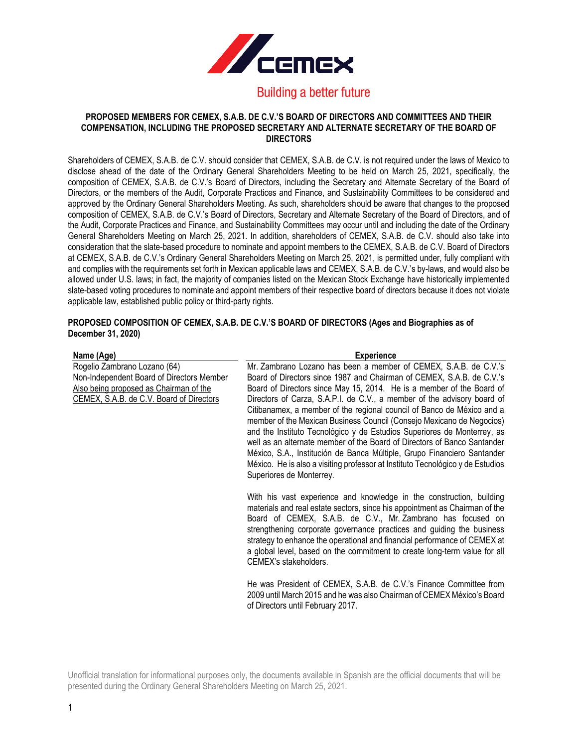

#### **PROPOSED MEMBERS FOR CEMEX, S.A.B. DE C.V.'S BOARD OF DIRECTORS AND COMMITTEES AND THEIR COMPENSATION, INCLUDING THE PROPOSED SECRETARY AND ALTERNATE SECRETARY OF THE BOARD OF DIRECTORS**

Shareholders of CEMEX, S.A.B. de C.V. should consider that CEMEX, S.A.B. de C.V. is not required under the laws of Mexico to disclose ahead of the date of the Ordinary General Shareholders Meeting to be held on March 25, 2021, specifically, the composition of CEMEX, S.A.B. de C.V.'s Board of Directors, including the Secretary and Alternate Secretary of the Board of Directors, or the members of the Audit, Corporate Practices and Finance, and Sustainability Committees to be considered and approved by the Ordinary General Shareholders Meeting. As such, shareholders should be aware that changes to the proposed composition of CEMEX, S.A.B. de C.V.'s Board of Directors, Secretary and Alternate Secretary of the Board of Directors, and of the Audit, Corporate Practices and Finance, and Sustainability Committees may occur until and including the date of the Ordinary General Shareholders Meeting on March 25, 2021. In addition, shareholders of CEMEX, S.A.B. de C.V. should also take into consideration that the slate-based procedure to nominate and appoint members to the CEMEX, S.A.B. de C.V. Board of Directors at CEMEX, S.A.B. de C.V.'s Ordinary General Shareholders Meeting on March 25, 2021, is permitted under, fully compliant with and complies with the requirements set forth in Mexican applicable laws and CEMEX, S.A.B. de C.V.'s by-laws, and would also be allowed under U.S. laws; in fact, the majority of companies listed on the Mexican Stock Exchange have historically implemented slate-based voting procedures to nominate and appoint members of their respective board of directors because it does not violate applicable law, established public policy or third-party rights.

### **PROPOSED COMPOSITION OF CEMEX, S.A.B. DE C.V.'S BOARD OF DIRECTORS (Ages and Biographies as of December 31, 2020)**

| Name (Age)                                | <b>Experience</b>                                                              |
|-------------------------------------------|--------------------------------------------------------------------------------|
| Rogelio Zambrano Lozano (64)              | Mr. Zambrano Lozano has been a member of CEMEX, S.A.B. de C.V.'s               |
| Non-Independent Board of Directors Member | Board of Directors since 1987 and Chairman of CEMEX, S.A.B. de C.V.'s          |
| Also being proposed as Chairman of the    | Board of Directors since May 15, 2014. He is a member of the Board of          |
| CEMEX, S.A.B. de C.V. Board of Directors  | Directors of Carza, S.A.P.I. de C.V., a member of the advisory board of        |
|                                           | Citibanamex, a member of the regional council of Banco de México and a         |
|                                           | member of the Mexican Business Council (Consejo Mexicano de Negocios)          |
|                                           | and the Instituto Tecnológico y de Estudios Superiores de Monterrey, as        |
|                                           | well as an alternate member of the Board of Directors of Banco Santander       |
|                                           | México, S.A., Institución de Banca Múltiple, Grupo Financiero Santander        |
|                                           |                                                                                |
|                                           | México. He is also a visiting professor at Instituto Tecnológico y de Estudios |
|                                           | Superiores de Monterrey.                                                       |
|                                           | With his vast experience and knowledge in the construction, building           |
|                                           | materials and real estate sectors, since his appointment as Chairman of the    |
|                                           | Board of CEMEX, S.A.B. de C.V., Mr. Zambrano has focused on                    |
|                                           | strengthening corporate governance practices and guiding the business          |
|                                           | strategy to enhance the operational and financial performance of CEMEX at      |
|                                           | a global level, based on the commitment to create long-term value for all      |
|                                           |                                                                                |
|                                           | CEMEX's stakeholders.                                                          |
|                                           | He was President of CEMEX, S.A.B. de C.V.'s Finance Committee from             |
|                                           | 2009 until March 2015 and he was also Chairman of CEMEX México's Board         |
|                                           |                                                                                |
|                                           | of Directors until February 2017.                                              |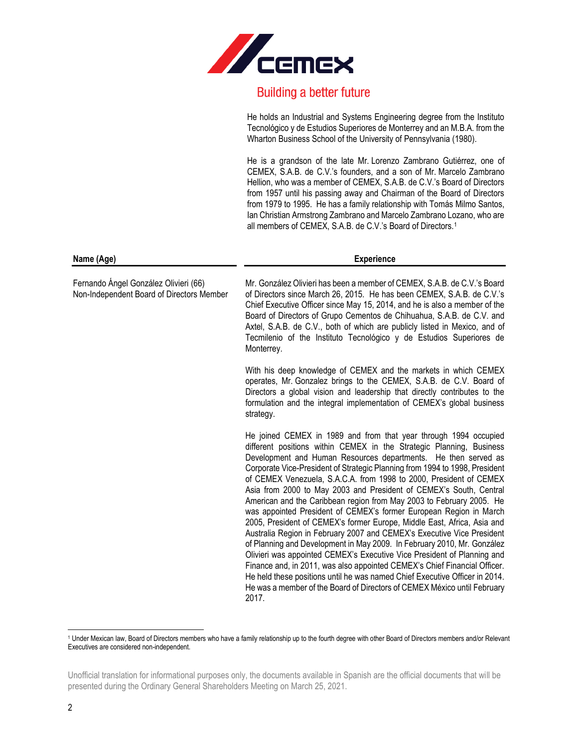

He holds an Industrial and Systems Engineering degree from the Instituto Tecnológico y de Estudios Superiores de Monterrey and an M.B.A. from the Wharton Business School of the University of Pennsylvania (1980).

He is a grandson of the late Mr. Lorenzo Zambrano Gutiérrez, one of CEMEX, S.A.B. de C.V.'s founders, and a son of Mr. Marcelo Zambrano Hellion, who was a member of CEMEX, S.A.B. de C.V.'s Board of Directors from 1957 until his passing away and Chairman of the Board of Directors from 1979 to 1995. He has a family relationship with Tomás Milmo Santos, Ian Christian Armstrong Zambrano and Marcelo Zambrano Lozano, who are all members of CEMEX, S.A.B. de C.V.'s Board of Directors.<sup>1</sup>

| Name (Age)                                                                         | <b>Experience</b>                                                                                                                                                                                                                                                                                                                                                                                                                                                                                                                                                                                                                                                                                                                                                                                                                                                                                                                                                                                                                                                                                                                               |  |
|------------------------------------------------------------------------------------|-------------------------------------------------------------------------------------------------------------------------------------------------------------------------------------------------------------------------------------------------------------------------------------------------------------------------------------------------------------------------------------------------------------------------------------------------------------------------------------------------------------------------------------------------------------------------------------------------------------------------------------------------------------------------------------------------------------------------------------------------------------------------------------------------------------------------------------------------------------------------------------------------------------------------------------------------------------------------------------------------------------------------------------------------------------------------------------------------------------------------------------------------|--|
| Fernando Ángel González Olivieri (66)<br>Non-Independent Board of Directors Member | Mr. González Olivieri has been a member of CEMEX, S.A.B. de C.V.'s Board<br>of Directors since March 26, 2015. He has been CEMEX, S.A.B. de C.V.'s<br>Chief Executive Officer since May 15, 2014, and he is also a member of the<br>Board of Directors of Grupo Cementos de Chihuahua, S.A.B. de C.V. and<br>Axtel, S.A.B. de C.V., both of which are publicly listed in Mexico, and of<br>Tecmilenio of the Instituto Tecnológico y de Estudios Superiores de<br>Monterrey.                                                                                                                                                                                                                                                                                                                                                                                                                                                                                                                                                                                                                                                                    |  |
|                                                                                    | With his deep knowledge of CEMEX and the markets in which CEMEX<br>operates, Mr. Gonzalez brings to the CEMEX, S.A.B. de C.V. Board of<br>Directors a global vision and leadership that directly contributes to the<br>formulation and the integral implementation of CEMEX's global business<br>strategy.                                                                                                                                                                                                                                                                                                                                                                                                                                                                                                                                                                                                                                                                                                                                                                                                                                      |  |
|                                                                                    | He joined CEMEX in 1989 and from that year through 1994 occupied<br>different positions within CEMEX in the Strategic Planning, Business<br>Development and Human Resources departments. He then served as<br>Corporate Vice-President of Strategic Planning from 1994 to 1998, President<br>of CEMEX Venezuela, S.A.C.A. from 1998 to 2000, President of CEMEX<br>Asia from 2000 to May 2003 and President of CEMEX's South, Central<br>American and the Caribbean region from May 2003 to February 2005. He<br>was appointed President of CEMEX's former European Region in March<br>2005, President of CEMEX's former Europe, Middle East, Africa, Asia and<br>Australia Region in February 2007 and CEMEX's Executive Vice President<br>of Planning and Development in May 2009. In February 2010, Mr. González<br>Olivieri was appointed CEMEX's Executive Vice President of Planning and<br>Finance and, in 2011, was also appointed CEMEX's Chief Financial Officer.<br>He held these positions until he was named Chief Executive Officer in 2014.<br>He was a member of the Board of Directors of CEMEX México until February<br>2017. |  |

<sup>1</sup> Under Mexican law, Board of Directors members who have a family relationship up to the fourth degree with other Board of Directors members and/or Relevant Executives are considered non-independent.

Unofficial translation for informational purposes only, the documents available in Spanish are the official documents that will be presented during the Ordinary General Shareholders Meeting on March 25, 2021.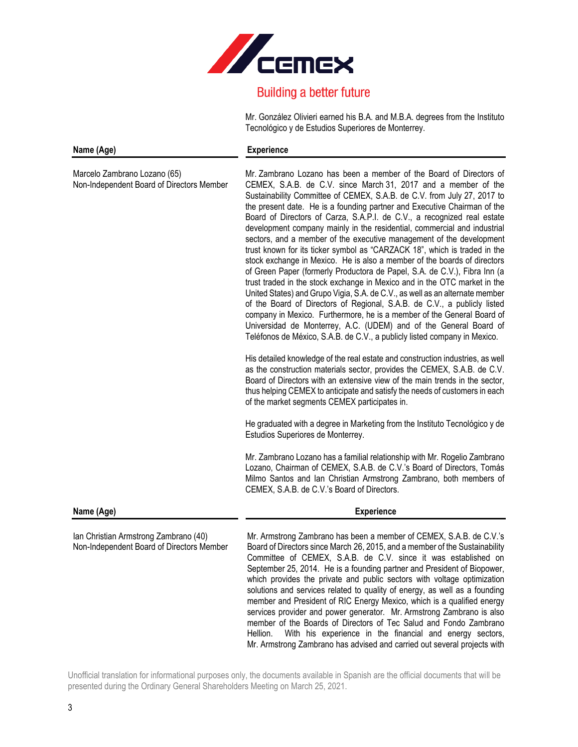

Mr. González Olivieri earned his B.A. and M.B.A. degrees from the Instituto Tecnológico y de Estudios Superiores de Monterrey.

member and President of RIC Energy Mexico, which is a qualified energy services provider and power generator. Mr. Armstrong Zambrano is also member of the Boards of Directors of Tec Salud and Fondo Zambrano Hellion. With his experience in the financial and energy sectors, Mr. Armstrong Zambrano has advised and carried out several projects with

| Name (Age)                                                                         | <b>Experience</b>                                                                                                                                                                                                                                                                                                                                                                                                                                                                                                                                                                                                                                                                                                                                                                                                                                                                                                                                                                                                                                                                                                                                                                                                                     |
|------------------------------------------------------------------------------------|---------------------------------------------------------------------------------------------------------------------------------------------------------------------------------------------------------------------------------------------------------------------------------------------------------------------------------------------------------------------------------------------------------------------------------------------------------------------------------------------------------------------------------------------------------------------------------------------------------------------------------------------------------------------------------------------------------------------------------------------------------------------------------------------------------------------------------------------------------------------------------------------------------------------------------------------------------------------------------------------------------------------------------------------------------------------------------------------------------------------------------------------------------------------------------------------------------------------------------------|
| Marcelo Zambrano Lozano (65)<br>Non-Independent Board of Directors Member          | Mr. Zambrano Lozano has been a member of the Board of Directors of<br>CEMEX, S.A.B. de C.V. since March 31, 2017 and a member of the<br>Sustainability Committee of CEMEX, S.A.B. de C.V. from July 27, 2017 to<br>the present date. He is a founding partner and Executive Chairman of the<br>Board of Directors of Carza, S.A.P.I. de C.V., a recognized real estate<br>development company mainly in the residential, commercial and industrial<br>sectors, and a member of the executive management of the development<br>trust known for its ticker symbol as "CARZACK 18", which is traded in the<br>stock exchange in Mexico. He is also a member of the boards of directors<br>of Green Paper (formerly Productora de Papel, S.A. de C.V.), Fibra Inn (a<br>trust traded in the stock exchange in Mexico and in the OTC market in the<br>United States) and Grupo Vigia, S.A. de C.V., as well as an alternate member<br>of the Board of Directors of Regional, S.A.B. de C.V., a publicly listed<br>company in Mexico. Furthermore, he is a member of the General Board of<br>Universidad de Monterrey, A.C. (UDEM) and of the General Board of<br>Teléfonos de México, S.A.B. de C.V., a publicly listed company in Mexico. |
|                                                                                    | His detailed knowledge of the real estate and construction industries, as well<br>as the construction materials sector, provides the CEMEX, S.A.B. de C.V.<br>Board of Directors with an extensive view of the main trends in the sector,<br>thus helping CEMEX to anticipate and satisfy the needs of customers in each<br>of the market segments CEMEX participates in.                                                                                                                                                                                                                                                                                                                                                                                                                                                                                                                                                                                                                                                                                                                                                                                                                                                             |
|                                                                                    | He graduated with a degree in Marketing from the Instituto Tecnológico y de<br>Estudios Superiores de Monterrey.                                                                                                                                                                                                                                                                                                                                                                                                                                                                                                                                                                                                                                                                                                                                                                                                                                                                                                                                                                                                                                                                                                                      |
|                                                                                    | Mr. Zambrano Lozano has a familial relationship with Mr. Rogelio Zambrano<br>Lozano, Chairman of CEMEX, S.A.B. de C.V.'s Board of Directors, Tomás<br>Milmo Santos and Ian Christian Armstrong Zambrano, both members of<br>CEMEX, S.A.B. de C.V.'s Board of Directors.                                                                                                                                                                                                                                                                                                                                                                                                                                                                                                                                                                                                                                                                                                                                                                                                                                                                                                                                                               |
| Name (Age)                                                                         | <b>Experience</b>                                                                                                                                                                                                                                                                                                                                                                                                                                                                                                                                                                                                                                                                                                                                                                                                                                                                                                                                                                                                                                                                                                                                                                                                                     |
| Ian Christian Armstrong Zambrano (40)<br>Non-Independent Board of Directors Member | Mr. Armstrong Zambrano has been a member of CEMEX, S.A.B. de C.V.'s<br>Board of Directors since March 26, 2015, and a member of the Sustainability<br>Committee of CEMEX, S.A.B. de C.V. since it was established on<br>September 25, 2014. He is a founding partner and President of Biopower,<br>which provides the private and public sectors with voltage optimization<br>solutions and services related to quality of energy, as well as a founding                                                                                                                                                                                                                                                                                                                                                                                                                                                                                                                                                                                                                                                                                                                                                                              |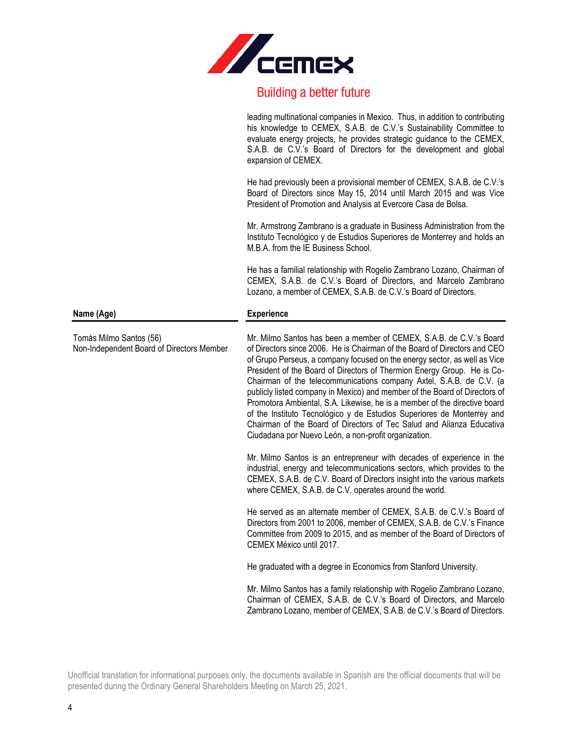

leading multinational companies in Mexico. Thus, in addition to contributing his knowledge to CEMEX, S.A.B. de C.V.'s Sustainability Committee to evaluate energy projects, he provides strategic guidance to the CEMEX, S.A.B. de C.V.'s Board of Directors for the development and global expansion of CEMEX.

He had previously been a provisional member of CEMEX, S.A.B. de C.V.'s Board of Directors since May 15, 2014 until March 2015 and was Vice President of Promotion and Analysis at Evercore Casa de Bolsa.

Mr. Armstrong Zambrano is a graduate in Business Administration from the Instituto Tecnológico y de Estudios Superiores de Monterrey and holds an M.B.A. from the IE Business School.

He has a familial relationship with Rogelio Zambrano Lozano, Chairman of CEMEX, S.A.B. de C.V.'s Board of Directors, and Marcelo Zambrano Lozano, a member of CEMEX, S.A.B. de C.V.'s Board of Directors.

#### **Name (Age) Experience**

Mr. Milmo Santos has been a member of CEMEX, S.A.B. de C.V.'s Board of Directors since 2006. He is Chairman of the Board of Directors and CEO of Grupo Perseus, a company focused on the energy sector, as well as Vice President of the Board of Directors of Thermion Energy Group. He is Co-Chairman of the telecommunications company Axtel, S.A.B. de C.V. (a publicly listed company in Mexico) and member of the Board of Directors of Promotora Ambiental, S.A. Likewise, he is a member of the directive board of the Instituto Tecnológico y de Estudios Superiores de Monterrey and Chairman of the Board of Directors of Tec Salud and Alianza Educativa Ciudadana por Nuevo León, a non-profit organization.

Mr. Milmo Santos is an entrepreneur with decades of experience in the industrial, energy and telecommunications sectors, which provides to the CEMEX, S.A.B. de C.V. Board of Directors insight into the various markets where CEMEX, S.A.B. de C.V. operates around the world.

He served as an alternate member of CEMEX, S.A.B. de C.V.'s Board of Directors from 2001 to 2006, member of CEMEX, S.A.B. de C.V.'s Finance Committee from 2009 to 2015, and as member of the Board of Directors of CEMEX México until 2017.

He graduated with a degree in Economics from Stanford University.

Mr. Milmo Santos has a family relationship with Rogelio Zambrano Lozano, Chairman of CEMEX, S.A.B. de C.V.'s Board of Directors, and Marcelo Zambrano Lozano, member of CEMEX, S.A.B. de C.V.'s Board of Directors.

Unofficial translation for informational purposes only, the documents available in Spanish are the official documents that will be presented during the Ordinary General Shareholders Meeting on March 25, 2021.

Tomás Milmo Santos (56) Non-Independent Board of Directors Member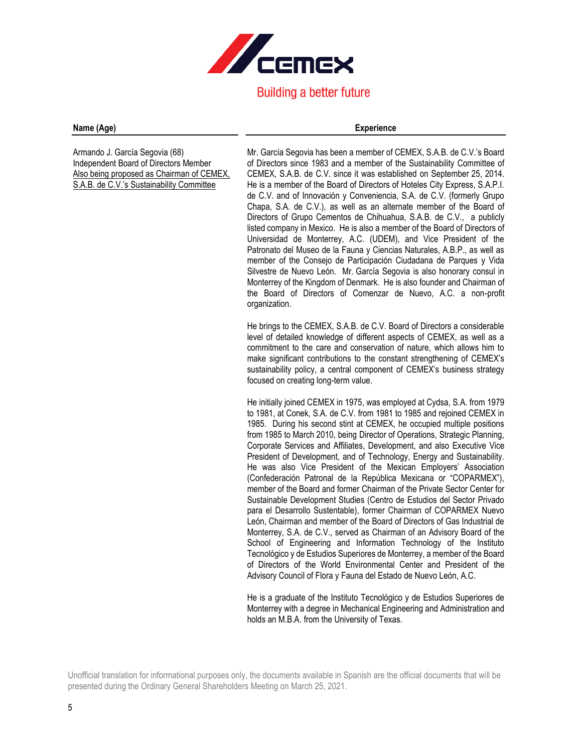

#### **Name (Age) Experience**

Armando J. García Segovia (68) Independent Board of Directors Member Also being proposed as Chairman of CEMEX, S.A.B. de C.V.'s Sustainability Committee

Mr. García Segovia has been a member of CEMEX, S.A.B. de C.V.'s Board of Directors since 1983 and a member of the Sustainability Committee of CEMEX, S.A.B. de C.V. since it was established on September 25, 2014. He is a member of the Board of Directors of Hoteles City Express, S.A.P.I. de C.V. and of Innovación y Conveniencia, S.A. de C.V. (formerly Grupo Chapa, S.A. de C.V.), as well as an alternate member of the Board of Directors of Grupo Cementos de Chihuahua, S.A.B. de C.V., a publicly listed company in Mexico. He is also a member of the Board of Directors of Universidad de Monterrey, A.C. (UDEM), and Vice President of the Patronato del Museo de la Fauna y Ciencias Naturales, A.B.P., as well as member of the Consejo de Participación Ciudadana de Parques y Vida Silvestre de Nuevo León. Mr. García Segovia is also honorary consul in Monterrey of the Kingdom of Denmark. He is also founder and Chairman of the Board of Directors of Comenzar de Nuevo, A.C. a non-profit organization.

He brings to the CEMEX, S.A.B. de C.V. Board of Directors a considerable level of detailed knowledge of different aspects of CEMEX, as well as a commitment to the care and conservation of nature, which allows him to make significant contributions to the constant strengthening of CEMEX's sustainability policy, a central component of CEMEX's business strategy focused on creating long-term value.

He initially joined CEMEX in 1975, was employed at Cydsa, S.A. from 1979 to 1981, at Conek, S.A. de C.V. from 1981 to 1985 and rejoined CEMEX in 1985. During his second stint at CEMEX, he occupied multiple positions from 1985 to March 2010, being Director of Operations, Strategic Planning, Corporate Services and Affiliates, Development, and also Executive Vice President of Development, and of Technology, Energy and Sustainability. He was also Vice President of the Mexican Employers' Association (Confederación Patronal de la República Mexicana or "COPARMEX"), member of the Board and former Chairman of the Private Sector Center for Sustainable Development Studies (Centro de Estudios del Sector Privado para el Desarrollo Sustentable), former Chairman of COPARMEX Nuevo León, Chairman and member of the Board of Directors of Gas Industrial de Monterrey, S.A. de C.V., served as Chairman of an Advisory Board of the School of Engineering and Information Technology of the Instituto Tecnológico y de Estudios Superiores de Monterrey, a member of the Board of Directors of the World Environmental Center and President of the Advisory Council of Flora y Fauna del Estado de Nuevo León, A.C.

He is a graduate of the Instituto Tecnológico y de Estudios Superiores de Monterrey with a degree in Mechanical Engineering and Administration and holds an M.B.A. from the University of Texas.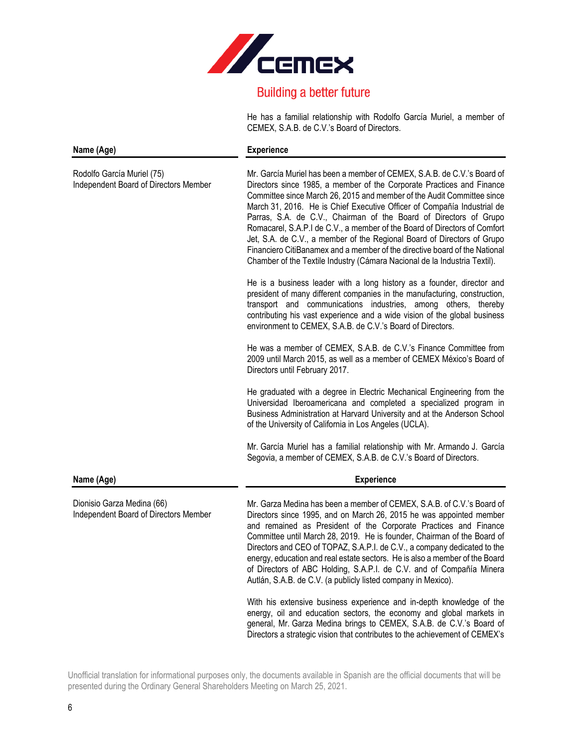

He has a familial relationship with Rodolfo García Muriel, a member of CEMEX, S.A.B. de C.V.'s Board of Directors.

| Name (Age)                                                          | <b>Experience</b>                                                                                                                                                                                                                                                                                                                                                                                                                                                                                                                                                                                                                                                                             |
|---------------------------------------------------------------------|-----------------------------------------------------------------------------------------------------------------------------------------------------------------------------------------------------------------------------------------------------------------------------------------------------------------------------------------------------------------------------------------------------------------------------------------------------------------------------------------------------------------------------------------------------------------------------------------------------------------------------------------------------------------------------------------------|
| Rodolfo García Muriel (75)<br>Independent Board of Directors Member | Mr. García Muriel has been a member of CEMEX, S.A.B. de C.V.'s Board of<br>Directors since 1985, a member of the Corporate Practices and Finance<br>Committee since March 26, 2015 and member of the Audit Committee since<br>March 31, 2016. He is Chief Executive Officer of Compañía Industrial de<br>Parras, S.A. de C.V., Chairman of the Board of Directors of Grupo<br>Romacarel, S.A.P.I de C.V., a member of the Board of Directors of Comfort<br>Jet, S.A. de C.V., a member of the Regional Board of Directors of Grupo<br>Financiero CitiBanamex and a member of the directive board of the National<br>Chamber of the Textile Industry (Cámara Nacional de la Industria Textil). |
|                                                                     | He is a business leader with a long history as a founder, director and<br>president of many different companies in the manufacturing, construction,<br>transport and communications industries, among others, thereby<br>contributing his vast experience and a wide vision of the global business<br>environment to CEMEX, S.A.B. de C.V.'s Board of Directors.                                                                                                                                                                                                                                                                                                                              |
|                                                                     | He was a member of CEMEX, S.A.B. de C.V.'s Finance Committee from<br>2009 until March 2015, as well as a member of CEMEX México's Board of<br>Directors until February 2017.                                                                                                                                                                                                                                                                                                                                                                                                                                                                                                                  |
|                                                                     | He graduated with a degree in Electric Mechanical Engineering from the<br>Universidad Iberoamericana and completed a specialized program in<br>Business Administration at Harvard University and at the Anderson School<br>of the University of California in Los Angeles (UCLA).                                                                                                                                                                                                                                                                                                                                                                                                             |
|                                                                     | Mr. García Muriel has a familial relationship with Mr. Armando J. García<br>Segovia, a member of CEMEX, S.A.B. de C.V.'s Board of Directors.                                                                                                                                                                                                                                                                                                                                                                                                                                                                                                                                                  |
| Name (Age)                                                          | <b>Experience</b>                                                                                                                                                                                                                                                                                                                                                                                                                                                                                                                                                                                                                                                                             |
| Dionisio Garza Medina (66)<br>Independent Board of Directors Member | Mr. Garza Medina has been a member of CEMEX, S.A.B. of C.V.'s Board of<br>Directors since 1995, and on March 26, 2015 he was appointed member<br>and remained as President of the Corporate Practices and Finance<br>Committee until March 28, 2019. He is founder, Chairman of the Board of<br>Directors and CEO of TOPAZ, S.A.P.I. de C.V., a company dedicated to the<br>energy, education and real estate sectors. He is also a member of the Board<br>of Directors of ABC Holding, S.A.P.I. de C.V. and of Compañía Minera<br>Autlán, S.A.B. de C.V. (a publicly listed company in Mexico).                                                                                              |
|                                                                     | With his extensive business experience and in-depth knowledge of the<br>energy, oil and education sectors, the economy and global markets in<br>general, Mr. Garza Medina brings to CEMEX, S.A.B. de C.V.'s Board of                                                                                                                                                                                                                                                                                                                                                                                                                                                                          |

Unofficial translation for informational purposes only, the documents available in Spanish are the official documents that will be presented during the Ordinary General Shareholders Meeting on March 25, 2021.

Directors a strategic vision that contributes to the achievement of CEMEX's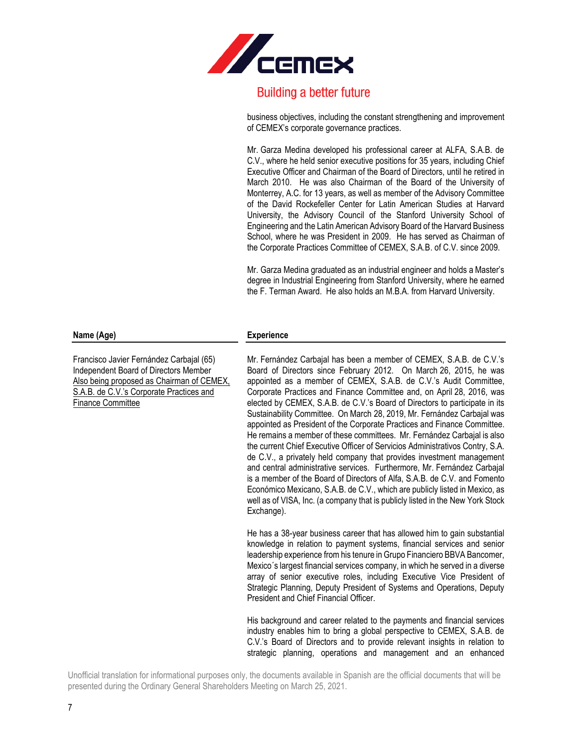

business objectives, including the constant strengthening and improvement of CEMEX's corporate governance practices.

Mr. Garza Medina developed his professional career at ALFA, S.A.B. de C.V., where he held senior executive positions for 35 years, including Chief Executive Officer and Chairman of the Board of Directors, until he retired in March 2010. He was also Chairman of the Board of the University of Monterrey, A.C. for 13 years, as well as member of the Advisory Committee of the David Rockefeller Center for Latin American Studies at Harvard University, the Advisory Council of the Stanford University School of Engineering and the Latin American Advisory Board of the Harvard Business School, where he was President in 2009. He has served as Chairman of the Corporate Practices Committee of CEMEX, S.A.B. of C.V. since 2009.

Mr. Garza Medina graduated as an industrial engineer and holds a Master's degree in Industrial Engineering from Stanford University, where he earned the F. Terman Award. He also holds an M.B.A. from Harvard University.

#### **Name (Age) Experience**

Mr. Fernández Carbajal has been a member of CEMEX, S.A.B. de C.V.'s Board of Directors since February 2012. On March 26, 2015, he was appointed as a member of CEMEX, S.A.B. de C.V.'s Audit Committee, Corporate Practices and Finance Committee and, on April 28, 2016, was elected by CEMEX, S.A.B. de C.V.'s Board of Directors to participate in its Sustainability Committee. On March 28, 2019, Mr. Fernández Carbajal was appointed as President of the Corporate Practices and Finance Committee. He remains a member of these committees. Mr. Fernández Carbajal is also the current Chief Executive Officer of Servicios Administrativos Contry, S.A. de C.V., a privately held company that provides investment management and central administrative services. Furthermore, Mr. Fernández Carbajal is a member of the Board of Directors of Alfa, S.A.B. de C.V. and Fomento Económico Mexicano, S.A.B. de C.V., which are publicly listed in Mexico, as well as of VISA, Inc. (a company that is publicly listed in the New York Stock Exchange).

He has a 38-year business career that has allowed him to gain substantial knowledge in relation to payment systems, financial services and senior leadership experience from his tenure in Grupo Financiero BBVA Bancomer, Mexico´s largest financial services company, in which he served in a diverse array of senior executive roles, including Executive Vice President of Strategic Planning, Deputy President of Systems and Operations, Deputy President and Chief Financial Officer.

His background and career related to the payments and financial services industry enables him to bring a global perspective to CEMEX, S.A.B. de C.V.'s Board of Directors and to provide relevant insights in relation to strategic planning, operations and management and an enhanced

Unofficial translation for informational purposes only, the documents available in Spanish are the official documents that will be presented during the Ordinary General Shareholders Meeting on March 25, 2021.

Francisco Javier Fernández Carbajal (65) Independent Board of Directors Member Also being proposed as Chairman of CEMEX, S.A.B. de C.V.'s Corporate Practices and Finance Committee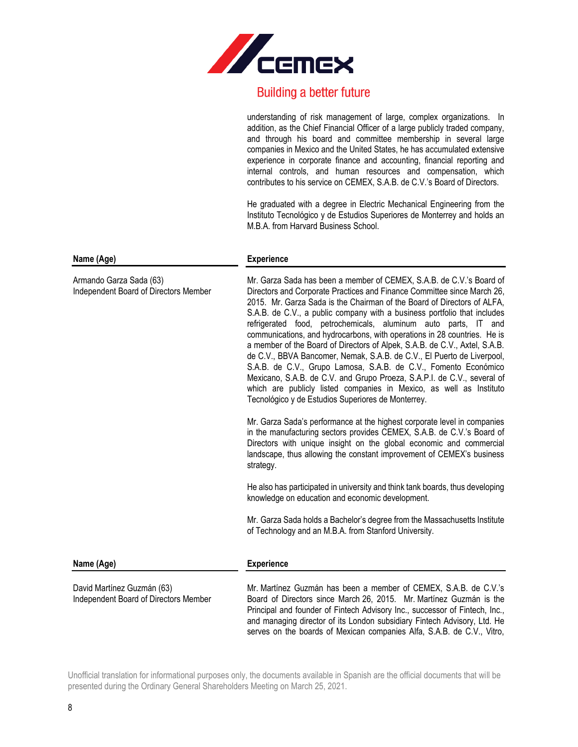

|                                                                     | understanding of risk management of large, complex organizations. In<br>addition, as the Chief Financial Officer of a large publicly traded company,<br>and through his board and committee membership in several large<br>companies in Mexico and the United States, he has accumulated extensive<br>experience in corporate finance and accounting, financial reporting and<br>internal controls, and human resources and compensation, which<br>contributes to his service on CEMEX, S.A.B. de C.V.'s Board of Directors.<br>He graduated with a degree in Electric Mechanical Engineering from the                                                                                                                                                                                                                                                                                  |
|---------------------------------------------------------------------|-----------------------------------------------------------------------------------------------------------------------------------------------------------------------------------------------------------------------------------------------------------------------------------------------------------------------------------------------------------------------------------------------------------------------------------------------------------------------------------------------------------------------------------------------------------------------------------------------------------------------------------------------------------------------------------------------------------------------------------------------------------------------------------------------------------------------------------------------------------------------------------------|
|                                                                     | Instituto Tecnológico y de Estudios Superiores de Monterrey and holds an<br>M.B.A. from Harvard Business School.                                                                                                                                                                                                                                                                                                                                                                                                                                                                                                                                                                                                                                                                                                                                                                        |
| Name (Age)                                                          | <b>Experience</b>                                                                                                                                                                                                                                                                                                                                                                                                                                                                                                                                                                                                                                                                                                                                                                                                                                                                       |
| Armando Garza Sada (63)<br>Independent Board of Directors Member    | Mr. Garza Sada has been a member of CEMEX, S.A.B. de C.V.'s Board of<br>Directors and Corporate Practices and Finance Committee since March 26,<br>2015. Mr. Garza Sada is the Chairman of the Board of Directors of ALFA,<br>S.A.B. de C.V., a public company with a business portfolio that includes<br>refrigerated food, petrochemicals, aluminum auto parts, IT and<br>communications, and hydrocarbons, with operations in 28 countries. He is<br>a member of the Board of Directors of Alpek, S.A.B. de C.V., Axtel, S.A.B.<br>de C.V., BBVA Bancomer, Nemak, S.A.B. de C.V., El Puerto de Liverpool,<br>S.A.B. de C.V., Grupo Lamosa, S.A.B. de C.V., Fomento Económico<br>Mexicano, S.A.B. de C.V. and Grupo Proeza, S.A.P.I. de C.V., several of<br>which are publicly listed companies in Mexico, as well as Instituto<br>Tecnológico y de Estudios Superiores de Monterrey. |
|                                                                     | Mr. Garza Sada's performance at the highest corporate level in companies<br>in the manufacturing sectors provides CEMEX, S.A.B. de C.V.'s Board of<br>Directors with unique insight on the global economic and commercial<br>landscape, thus allowing the constant improvement of CEMEX's business<br>strategy.                                                                                                                                                                                                                                                                                                                                                                                                                                                                                                                                                                         |
|                                                                     | He also has participated in university and think tank boards, thus developing<br>knowledge on education and economic development.                                                                                                                                                                                                                                                                                                                                                                                                                                                                                                                                                                                                                                                                                                                                                       |
|                                                                     | Mr. Garza Sada holds a Bachelor's degree from the Massachusetts Institute<br>of Technology and an M.B.A. from Stanford University.                                                                                                                                                                                                                                                                                                                                                                                                                                                                                                                                                                                                                                                                                                                                                      |
| Name (Age)                                                          | <b>Experience</b>                                                                                                                                                                                                                                                                                                                                                                                                                                                                                                                                                                                                                                                                                                                                                                                                                                                                       |
| David Martínez Guzmán (63)<br>Independent Board of Directors Member | Mr. Martínez Guzmán has been a member of CEMEX, S.A.B. de C.V.'s<br>Board of Directors since March 26, 2015. Mr. Martínez Guzmán is the<br>Principal and founder of Fintech Advisory Inc., successor of Fintech, Inc.,<br>and managing director of its London subsidiary Fintech Advisory, Ltd. He<br>serves on the boards of Mexican companies Alfa, S.A.B. de C.V., Vitro,                                                                                                                                                                                                                                                                                                                                                                                                                                                                                                            |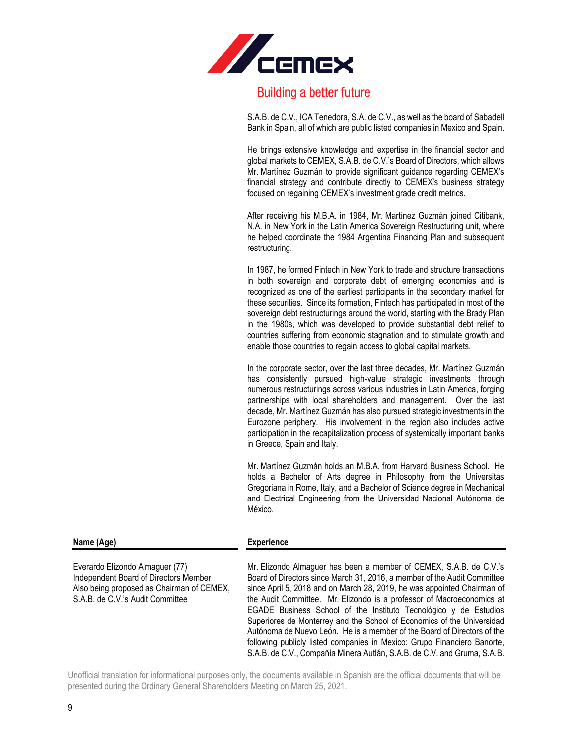

S.A.B. de C.V., ICA Tenedora, S.A. de C.V., as well as the board of Sabadell Bank in Spain, all of which are public listed companies in Mexico and Spain.

He brings extensive knowledge and expertise in the financial sector and global markets to CEMEX, S.A.B. de C.V.'s Board of Directors, which allows Mr. Martínez Guzmán to provide significant guidance regarding CEMEX's financial strategy and contribute directly to CEMEX's business strategy focused on regaining CEMEX's investment grade credit metrics.

After receiving his M.B.A. in 1984, Mr. Martínez Guzmán joined Citibank, N.A. in New York in the Latin America Sovereign Restructuring unit, where he helped coordinate the 1984 Argentina Financing Plan and subsequent restructuring.

In 1987, he formed Fintech in New York to trade and structure transactions in both sovereign and corporate debt of emerging economies and is recognized as one of the earliest participants in the secondary market for these securities. Since its formation, Fintech has participated in most of the sovereign debt restructurings around the world, starting with the Brady Plan in the 1980s, which was developed to provide substantial debt relief to countries suffering from economic stagnation and to stimulate growth and enable those countries to regain access to global capital markets.

In the corporate sector, over the last three decades, Mr. Martínez Guzmán has consistently pursued high-value strategic investments through numerous restructurings across various industries in Latin America, forging partnerships with local shareholders and management. Over the last decade, Mr. Martínez Guzmán has also pursued strategic investments in the Eurozone periphery. His involvement in the region also includes active participation in the recapitalization process of systemically important banks in Greece, Spain and Italy.

Mr. Martínez Guzmán holds an M.B.A. from Harvard Business School. He holds a Bachelor of Arts degree in Philosophy from the Universitas Gregoriana in Rome, Italy, and a Bachelor of Science degree in Mechanical and Electrical Engineering from the Universidad Nacional Autónoma de México.

following publicly listed companies in Mexico: Grupo Financiero Banorte, S.A.B. de C.V., Compañía Minera Autlán, S.A.B. de C.V. and Gruma, S.A.B.

| Everardo Elizondo Almaguer (77)           | Mr. Elizondo Almaguer has been a member of CEMEX, S.A.B. de C.V.'s       |
|-------------------------------------------|--------------------------------------------------------------------------|
| Independent Board of Directors Member     | Board of Directors since March 31, 2016, a member of the Audit Committee |
| Also being proposed as Chairman of CEMEX, | since April 5, 2018 and on March 28, 2019, he was appointed Chairman of  |
| S.A.B. de C.V.'s Audit Committee          | the Audit Committee. Mr. Elizondo is a professor of Macroeconomics at    |
|                                           | EGADE Business School of the Instituto Tecnológico y de Estudios         |
|                                           | Superiores de Monterrey and the School of Economics of the Universidad   |
|                                           | Autónoma de Nuevo León. He is a member of the Board of Directors of the  |

**Name (Age) Experience**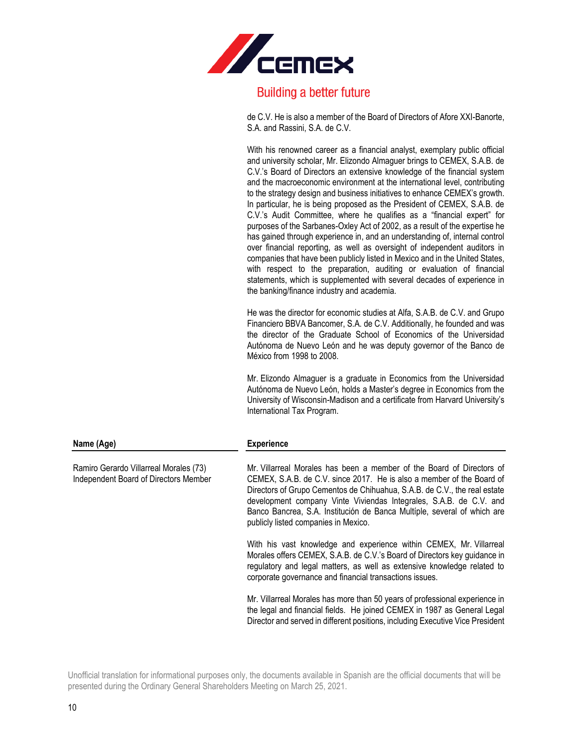

de C.V. He is also a member of the Board of Directors of Afore XXI-Banorte, S.A. and Rassini, S.A. de C.V.

With his renowned career as a financial analyst, exemplary public official and university scholar, Mr. Elizondo Almaguer brings to CEMEX, S.A.B. de C.V.'s Board of Directors an extensive knowledge of the financial system and the macroeconomic environment at the international level, contributing to the strategy design and business initiatives to enhance CEMEX's growth. In particular, he is being proposed as the President of CEMEX, S.A.B. de C.V.'s Audit Committee, where he qualifies as a "financial expert" for purposes of the Sarbanes-Oxley Act of 2002, as a result of the expertise he has gained through experience in, and an understanding of, internal control over financial reporting, as well as oversight of independent auditors in companies that have been publicly listed in Mexico and in the United States, with respect to the preparation, auditing or evaluation of financial statements, which is supplemented with several decades of experience in the banking/finance industry and academia.

He was the director for economic studies at Alfa, S.A.B. de C.V. and Grupo Financiero BBVA Bancomer, S.A. de C.V. Additionally, he founded and was the director of the Graduate School of Economics of the Universidad Autónoma de Nuevo León and he was deputy governor of the Banco de México from 1998 to 2008.

Mr. Elizondo Almaguer is a graduate in Economics from the Universidad Autónoma de Nuevo León, holds a Master's degree in Economics from the University of Wisconsin-Madison and a certificate from Harvard University's International Tax Program.

| Name (Age)                                                                      | <b>Experience</b>                                                                                                                                                                                                                                                                                                                                                                                                    |
|---------------------------------------------------------------------------------|----------------------------------------------------------------------------------------------------------------------------------------------------------------------------------------------------------------------------------------------------------------------------------------------------------------------------------------------------------------------------------------------------------------------|
| Ramiro Gerardo Villarreal Morales (73)<br>Independent Board of Directors Member | Mr. Villarreal Morales has been a member of the Board of Directors of<br>CEMEX, S.A.B. de C.V. since 2017. He is also a member of the Board of<br>Directors of Grupo Cementos de Chihuahua, S.A.B. de C.V., the real estate<br>development company Vinte Viviendas Integrales, S.A.B. de C.V. and<br>Banco Bancrea, S.A. Institución de Banca Multíple, several of which are<br>publicly listed companies in Mexico. |
|                                                                                 | With his vast knowledge and experience within CEMEX, Mr. Villarreal<br>Morales offers CEMEX, S.A.B. de C.V.'s Board of Directors key guidance in<br>regulatory and legal matters, as well as extensive knowledge related to<br>corporate governance and financial transactions issues.                                                                                                                               |
|                                                                                 | Mr. Villarreal Morales has more than 50 years of professional experience in<br>the legal and financial fields. He joined CEMEX in 1987 as General Legal<br>Director and served in different positions, including Executive Vice President                                                                                                                                                                            |

Unofficial translation for informational purposes only, the documents available in Spanish are the official documents that will be presented during the Ordinary General Shareholders Meeting on March 25, 2021.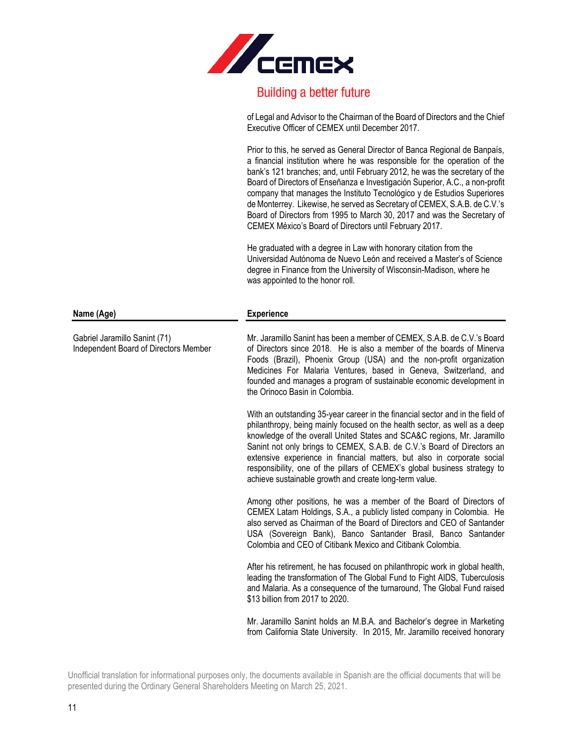

of Legal and Advisor to the Chairman of the Board of Directors and the Chief Executive Officer of CEMEX until December 2017.

Prior to this, he served as General Director of Banca Regional de Banpaís, a financial institution where he was responsible for the operation of the bank's 121 branches; and, until February 2012, he was the secretary of the Board of Directors of Enseñanza e Investigación Superior, A.C., a non-profit company that manages the Instituto Tecnológico y de Estudios Superiores de Monterrey. Likewise, he served as Secretary of CEMEX, S.A.B. de C.V.'s Board of Directors from 1995 to March 30, 2017 and was the Secretary of CEMEX México's Board of Directors until February 2017.

He graduated with a degree in Law with honorary citation from the Universidad Autónoma de Nuevo León and received a Master's of Science degree in Finance from the University of Wisconsin-Madison, where he was appointed to the honor roll.

| ⊵xperience |  |
|------------|--|
|            |  |

Mr. Jaramillo Sanint has been a member of CEMEX, S.A.B. de C.V.'s Board of Directors since 2018. He is also a member of the boards of Minerva Foods (Brazil), Phoenix Group (USA) and the non-profit organization Medicines For Malaria Ventures, based in Geneva, Switzerland, and founded and manages a program of sustainable economic development in the Orinoco Basin in Colombia.

With an outstanding 35-year career in the financial sector and in the field of philanthropy, being mainly focused on the health sector, as well as a deep knowledge of the overall United States and SCA&C regions, Mr. Jaramillo Sanint not only brings to CEMEX, S.A.B. de C.V.'s Board of Directors an extensive experience in financial matters, but also in corporate social responsibility, one of the pillars of CEMEX's global business strategy to achieve sustainable growth and create long-term value.

Among other positions, he was a member of the Board of Directors of CEMEX Latam Holdings, S.A., a publicly listed company in Colombia. He also served as Chairman of the Board of Directors and CEO of Santander USA (Sovereign Bank), Banco Santander Brasil, Banco Santander Colombia and CEO of Citibank Mexico and Citibank Colombia.

After his retirement, he has focused on philanthropic work in global health, leading the transformation of The Global Fund to Fight AIDS, Tuberculosis and Malaria. As a consequence of the turnaround, The Global Fund raised \$13 billion from 2017 to 2020.

Mr. Jaramillo Sanint holds an M.B.A. and Bachelor's degree in Marketing from California State University. In 2015, Mr. Jaramillo received honorary

**Name** (Age)

Gabriel Jaramillo Sanint (71)

Independent Board of Directors Member

Unofficial translation for informational purposes only, the documents available in Spanish are the official documents that will be presented during the Ordinary General Shareholders Meeting on March 25, 2021.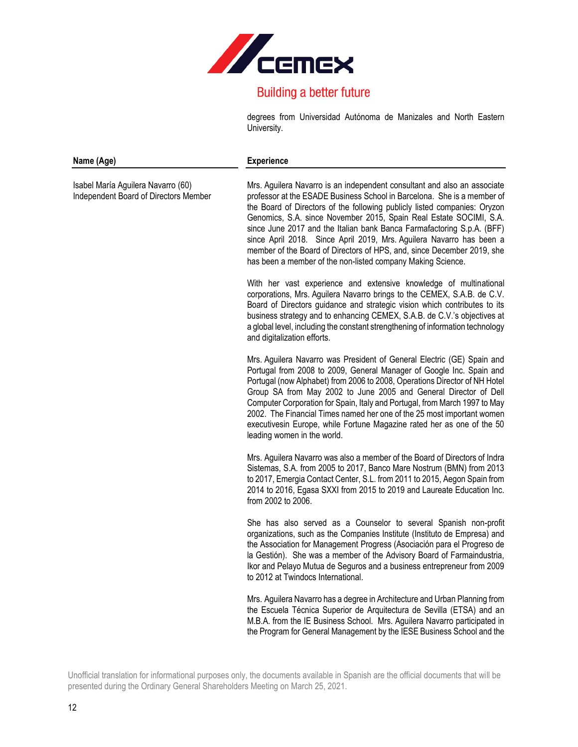

degrees from Universidad Autónoma de Manizales and North Eastern University.

#### **Name (Age) Experience**

Isabel María Aguilera Navarro (60) Independent Board of Directors Member

Mrs. Aguilera Navarro is an independent consultant and also an associate professor at the ESADE Business School in Barcelona. She is a member of the Board of Directors of the following publicly listed companies: Oryzon Genomics, S.A. since November 2015, Spain Real Estate SOCIMI, S.A. since June 2017 and the Italian bank Banca Farmafactoring S.p.A. (BFF) since April 2018. Since April 2019, Mrs. Aguilera Navarro has been a member of the Board of Directors of HPS, and, since December 2019, she has been a member of the non-listed company Making Science.

With her vast experience and extensive knowledge of multinational corporations, Mrs. Aguilera Navarro brings to the CEMEX, S.A.B. de C.V. Board of Directors guidance and strategic vision which contributes to its business strategy and to enhancing CEMEX, S.A.B. de C.V.'s objectives at a global level, including the constant strengthening of information technology and digitalization efforts.

Mrs. Aguilera Navarro was President of General Electric (GE) Spain and Portugal from 2008 to 2009, General Manager of Google Inc. Spain and Portugal (now Alphabet) from 2006 to 2008, Operations Director of NH Hotel Group SA from May 2002 to June 2005 and General Director of Dell Computer Corporation for Spain, Italy and Portugal, from March 1997 to May 2002. The Financial Times named her one of the 25 most important women executivesin Europe, while Fortune Magazine rated her as one of the 50 leading women in the world.

Mrs. Aguilera Navarro was also a member of the Board of Directors of Indra Sistemas, S.A. from 2005 to 2017, Banco Mare Nostrum (BMN) from 2013 to 2017, Emergia Contact Center, S.L. from 2011 to 2015, Aegon Spain from 2014 to 2016, Egasa SXXI from 2015 to 2019 and Laureate Education Inc. from 2002 to 2006.

She has also served as a Counselor to several Spanish non-profit organizations, such as the Companies Institute (Instituto de Empresa) and the Association for Management Progress (Asociación para el Progreso de la Gestión). She was a member of the Advisory Board of Farmaindustria, Ikor and Pelayo Mutua de Seguros and a business entrepreneur from 2009 to 2012 at Twindocs International.

Mrs. Aguilera Navarro has a degree in Architecture and Urban Planning from the Escuela Técnica Superior de Arquitectura de Sevilla (ETSA) and an M.B.A. from the IE Business School. Mrs. Aguilera Navarro participated in the Program for General Management by the IESE Business School and the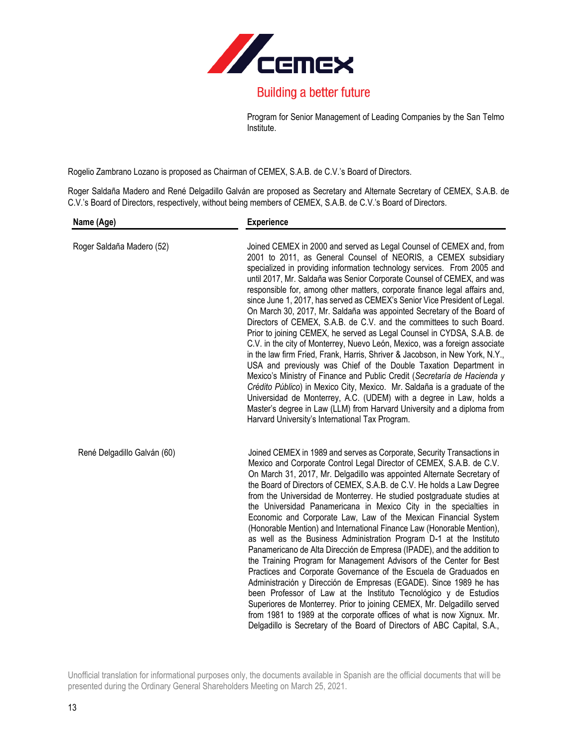

Program for Senior Management of Leading Companies by the San Telmo Institute.

Rogelio Zambrano Lozano is proposed as Chairman of CEMEX, S.A.B. de C.V.'s Board of Directors.

Roger Saldaña Madero and René Delgadillo Galván are proposed as Secretary and Alternate Secretary of CEMEX, S.A.B. de C.V.'s Board of Directors, respectively, without being members of CEMEX, S.A.B. de C.V.'s Board of Directors.

| Name (Age)                  | <b>Experience</b>                                                                                                                                                                                                                                                                                                                                                                                                                                                                                                                                                                                                                                                                                                                                                                                                                                                                                                                                                                                                                                                                                                                                                                                                                                                                  |  |
|-----------------------------|------------------------------------------------------------------------------------------------------------------------------------------------------------------------------------------------------------------------------------------------------------------------------------------------------------------------------------------------------------------------------------------------------------------------------------------------------------------------------------------------------------------------------------------------------------------------------------------------------------------------------------------------------------------------------------------------------------------------------------------------------------------------------------------------------------------------------------------------------------------------------------------------------------------------------------------------------------------------------------------------------------------------------------------------------------------------------------------------------------------------------------------------------------------------------------------------------------------------------------------------------------------------------------|--|
| Roger Saldaña Madero (52)   | Joined CEMEX in 2000 and served as Legal Counsel of CEMEX and, from<br>2001 to 2011, as General Counsel of NEORIS, a CEMEX subsidiary<br>specialized in providing information technology services. From 2005 and<br>until 2017, Mr. Saldaña was Senior Corporate Counsel of CEMEX, and was<br>responsible for, among other matters, corporate finance legal affairs and,<br>since June 1, 2017, has served as CEMEX's Senior Vice President of Legal.<br>On March 30, 2017, Mr. Saldaña was appointed Secretary of the Board of<br>Directors of CEMEX, S.A.B. de C.V. and the committees to such Board.<br>Prior to joining CEMEX, he served as Legal Counsel in CYDSA, S.A.B. de<br>C.V. in the city of Monterrey, Nuevo León, Mexico, was a foreign associate<br>in the law firm Fried, Frank, Harris, Shriver & Jacobson, in New York, N.Y.,<br>USA and previously was Chief of the Double Taxation Department in<br>Mexico's Ministry of Finance and Public Credit (Secretaría de Hacienda y<br>Crédito Público) in Mexico City, Mexico. Mr. Saldaña is a graduate of the<br>Universidad de Monterrey, A.C. (UDEM) with a degree in Law, holds a<br>Master's degree in Law (LLM) from Harvard University and a diploma from<br>Harvard University's International Tax Program. |  |
| René Delgadillo Galván (60) | Joined CEMEX in 1989 and serves as Corporate, Security Transactions in<br>Mexico and Corporate Control Legal Director of CEMEX, S.A.B. de C.V.<br>On March 31, 2017, Mr. Delgadillo was appointed Alternate Secretary of<br>the Board of Directors of CEMEX, S.A.B. de C.V. He holds a Law Degree<br>from the Universidad de Monterrey. He studied postgraduate studies at<br>the Universidad Panamericana in Mexico City in the specialties in<br>Economic and Corporate Law, Law of the Mexican Financial System<br>(Honorable Mention) and International Finance Law (Honorable Mention),<br>as well as the Business Administration Program D-1 at the Instituto<br>Panamericano de Alta Dirección de Empresa (IPADE), and the addition to<br>the Training Program for Management Advisors of the Center for Best<br>Practices and Corporate Governance of the Escuela de Graduados en<br>Administración y Dirección de Empresas (EGADE). Since 1989 he has<br>been Professor of Law at the Instituto Tecnológico y de Estudios<br>Superiores de Monterrey. Prior to joining CEMEX, Mr. Delgadillo served<br>from 1981 to 1989 at the corporate offices of what is now Xignux. Mr.<br>Delgadillo is Secretary of the Board of Directors of ABC Capital, S.A.,                   |  |